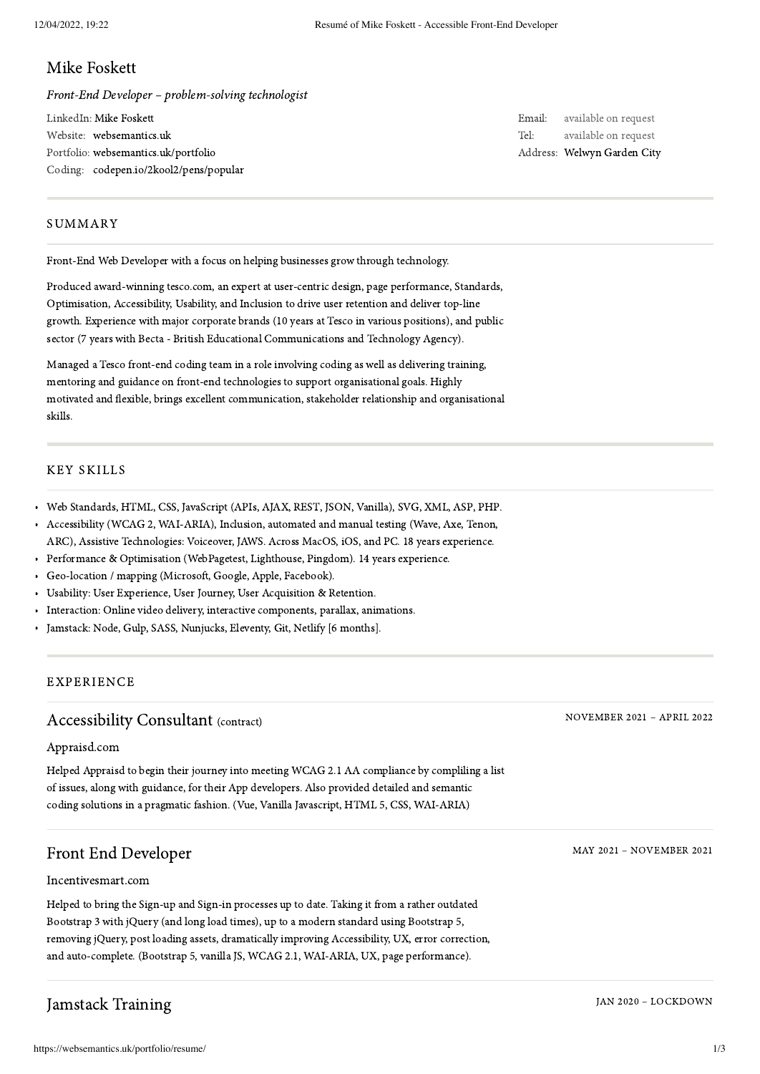#### Mike Foskett

Front-End Developer – problem-solving technologist

LinkedIn: Mike [Foskett](https://www.linkedin.com/in/mikefoskett) Website: [websemantics.uk](https://websemantics.uk/) Portfolio: [websemantics.uk/portfolio](https://websemantics.uk/portfolio/) Coding: [codepen.io/2kool2/pens/popular](https://codepen.io/2kool2/pens/popular/?grid_type=list#)

Email: available on request Tel: available on request Address: [Welwyn](https://www.google.co.uk/maps/place/Welwyn) Garden City

#### SUMMARY

Front-End Web Developer with a focus on helping businesses grow through technology.

Produced award-winning tesco.com, an expert at user-centric design, page performance, Standards, Optimisation, Accessibility, Usability, and Inclusion to drive user retention and deliver top-line growth. Experience with major corporate brands (10 years at Tesco in various positions), and public sector (7 years with Becta - British Educational Communications and Technology Agency).

Managed a Tesco front-end coding team in a role involving coding as well as delivering training, mentoring and guidance on front-end technologies to support organisational goals. Highly motivated and flexible, brings excellent communication, stakeholder relationship and organisational skills.

#### KEY SKILLS

- Web Standards, HTML, CSS, JavaScript (APIs, AJAX, REST, JSON, Vanilla), SVG, XML, ASP, PHP.
- Accessibility (WCAG 2, WAI-ARIA), Inclusion, automated and manual testing (Wave, Axe, Tenon,  $\bullet$ ARC), Assistive Technologies: Voiceover, JAWS. Across MacOS, iOS, and PC. 18 years experience.
- Performance & Optimisation (WebPagetest, Lighthouse, Pingdom). 14 years experience.
- $\bullet$ Geo-location / mapping (Microsoft, Google, Apple, Facebook).
- Usability: User Experience, User Journey, User Acquisition & Retention.
- Interaction: Online video delivery, interactive components, parallax, animations.
- Jamstack: Node, Gulp, SASS, Nunjucks, Eleventy, Git, Netlify [6 months].

#### EXPERIENCE

#### Accessibility Consultant (contract)

[Appraisd.com](https://appraisd.com/)

Helped Appraisd to begin their journey into meeting WCAG 2.1 AA compliance by compliling a list of issues, along with guidance, for their App developers. Also provided detailed and semantic coding solutions in a pragmatic fashion. (Vue, Vanilla Javascript, HTML 5, CSS, WAI-ARIA)

#### Front End Developer

#### [Incentivesmart.com](https://incentivesmart.com/)

Helped to bring the Sign-up and Sign-in processes up to date. Taking it from a rather outdated Bootstrap 3 with jQuery (and long load times), up to a modern standard using Bootstrap 5, removing jQuery, post loading assets, dramatically improving Accessibility, UX, error correction, and auto-complete. (Bootstrap 5, vanilla JS, WCAG 2.1, WAI-ARIA, UX, page performance).

# Jamstack Training

NOVEMBER 2021 – APRIL 2022

MAY 2021 – NOVEMBER 2021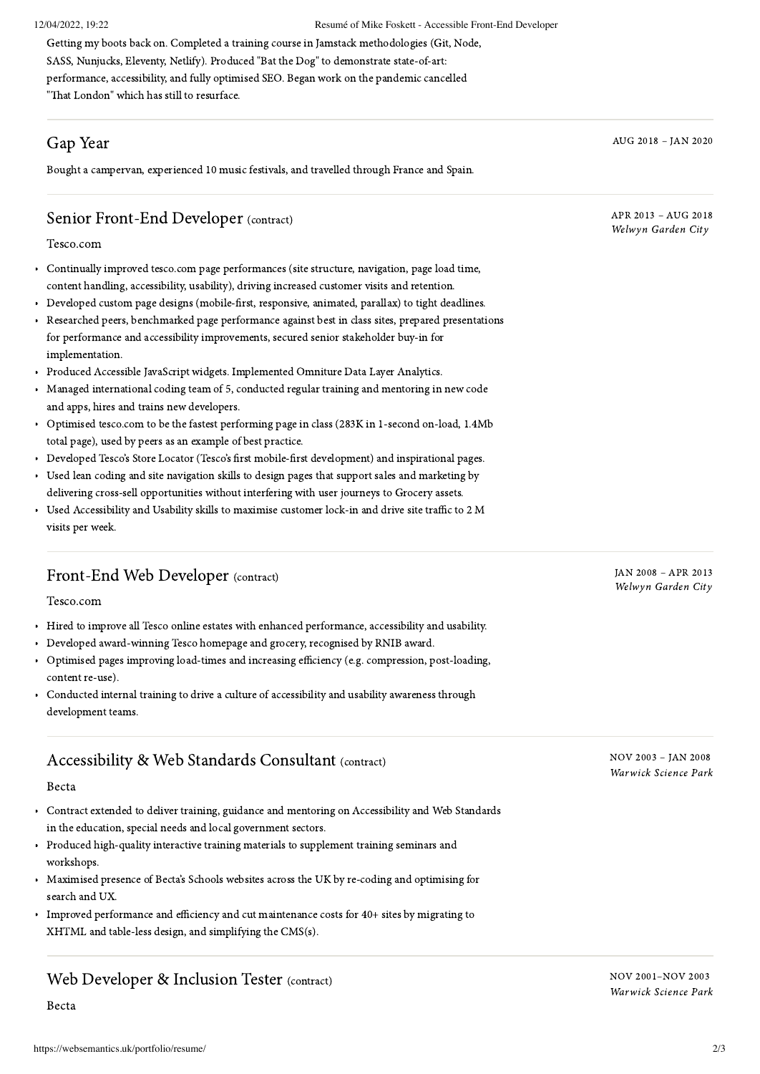Getting my boots back on. Completed a training course in Jamstack methodologies (Git, Node, SASS, Nunjucks, Eleventy, Netlify). Produced "Bat the [Dog](https://batthedog.uk/)" to demonstrate state-of-art: performance, accessibility, and fully optimised SEO. Began work on the pandemic cancelled "That [London](https://thatlondon.uk/)" which has still to resurface.

# Gap Year

Bought a campervan, experienced 10 music festivals, and travelled through France and Spain.

AUG 2018 – JAN 2020

APR 2013 – AUG 2018 Welwyn Garden City

# Senior Front-End Developer (contract)

[Tesco.com](https://www.tesco.com/)

- Continually improved tesco.com page performances (site structure, navigation, page load time, content handling, accessibility, usability), driving increased customer visits and retention.
- Developed custom page designs (mobile-first, responsive, animated, parallax) to tight deadlines.
- Researched peers, benchmarked page performance against best in class sites, prepared presentations for performance and accessibility improvements, secured senior stakeholder buy-in for implementation.
- Produced Accessible JavaScript widgets. Implemented Omniture Data Layer Analytics.
- Managed international coding team of 5, conducted regular training and mentoring in new code and apps, hires and trains new developers.
- Optimised tesco.com to be the fastest performing page in class (283K in 1-second on-load, 1.4Mb total page), used by peers as an example of best practice.
- Developed Tesco's Store Locator (Tesco's first mobile-first development) and inspirational pages.
- Used lean coding and site navigation skills to design pages that support sales and marketing by delivering cross-sell opportunities without interfering with user journeys to Grocery assets.
- Used Accessibility and Usability skills to maximise customer lock-in and drive site traffic to 2 M visits per week.

## Front-End Web Developer (contract)

[Tesco.com](https://www.tesco.com/)

- Hired to improve all Tesco online estates with enhanced performance, accessibility and usability.  $\bullet$
- Developed award-winning Tesco homepage and grocery, recognised by RNIB award.
- Optimised pages improving load-times and increasing efficiency (e.g. compression, post-loading, content re-use).
- Conducted internal training to drive a culture of accessibility and usability awareness through development teams.

## Accessibility & Web Standards Consultant (contract)

#### [Becta](https://www.linkedin.com/company/becta)

- Contract extended to deliver training, guidance and mentoring on Accessibility and Web Standards in the education, special needs and local government sectors.
- Produced high-quality interactive training materials to supplement training seminars and workshops.
- Maximised presence of Becta's Schools websites across the UK by re-coding and optimising for search and UX.
- Improved performance and efficiency and cut maintenance costs for 40+ sites by migrating to XHTML and table-less design, and simplifying the CMS(s).

## Web Developer & Inclusion Tester (contract)

[Becta](https://www.linkedin.com/company/becta)

NOV 2003 – JAN 2008 Warwick Science Park

JAN 2008 – APR 2013 Welwyn Garden City

NOV 2001–NOV 2003 Warwick Science Park